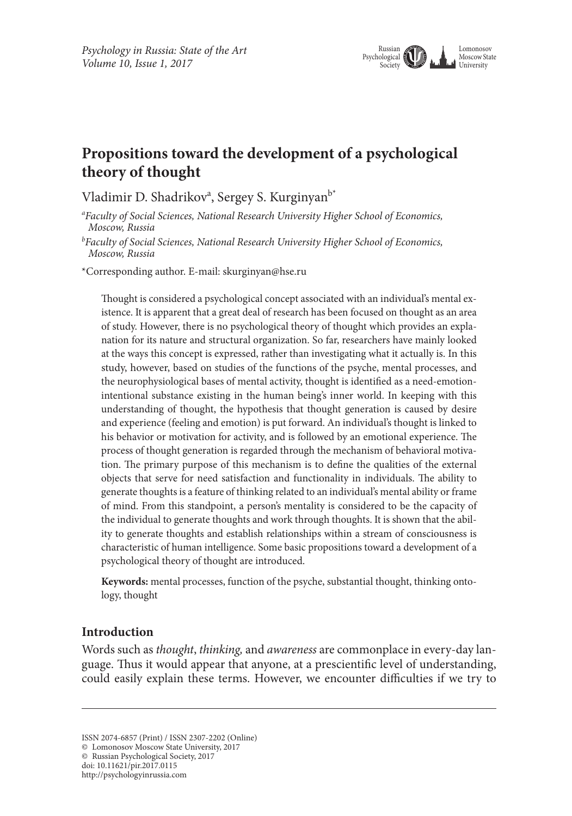

# **Propositions toward the development of a psychological theory of thought**

Vladimir D. Shadrikov<sup>a</sup>, Sergey S. Kurginyan<sup>b\*</sup>

*a Faculty of Social Sciences, National Research University Higher School of Economics, Moscow, Russia*

*b Faculty of Social Sciences, National Research University Higher School of Economics, Moscow, Russia*

\*Corresponding author. E-mail: skurginyan@hse.ru

Thought is considered a psychological concept associated with an individual's mental existence. It is apparent that a great deal of research has been focused on thought as an area of study. However, there is no psychological theory of thought which provides an explanation for its nature and structural organization. So far, researchers have mainly looked at the ways this concept is expressed, rather than investigating what it actually is. In this study, however, based on studies of the functions of the psyche, mental processes, and the neurophysiological bases of mental activity, thought is identified as a need-emotionintentional substance existing in the human being's inner world. In keeping with this understanding of thought, the hypothesis that thought generation is caused by desire and experience (feeling and emotion) is put forward. An individual's thought is linked to his behavior or motivation for activity, and is followed by an emotional experience. The process of thought generation is regarded through the mechanism of behavioral motivation. The primary purpose of this mechanism is to define the qualities of the external objects that serve for need satisfaction and functionality in individuals. The ability to generate thoughts is a feature of thinking related to an individual's mental ability or frame of mind. From this standpoint, a person's mentality is considered to be the capacity of the individual to generate thoughts and work through thoughts. It is shown that the ability to generate thoughts and establish relationships within a stream of consciousness is characteristic of human intelligence. Some basic propositions toward a development of a psychological theory of thought are introduced.

**Keywords:** mental processes, function of the psyche, substantial thought, thinking ontology, thought

### **Introduction**

Words such as *thought*, *thinking,* and *awareness* are commonplace in every-day language. Thus it would appear that anyone, at a prescientific level of understanding, could easily explain these terms. However, we encounter difficulties if we try to

ISSN 2074-6857 (Print) / ISSN 2307-2202 (Online)

<sup>©</sup> Lomonosov Moscow State University, 2017

<sup>©</sup> Russian Psychological Society, 2017

doi: 10.11621/pir.2017.0115

http://psychologyinrussia.com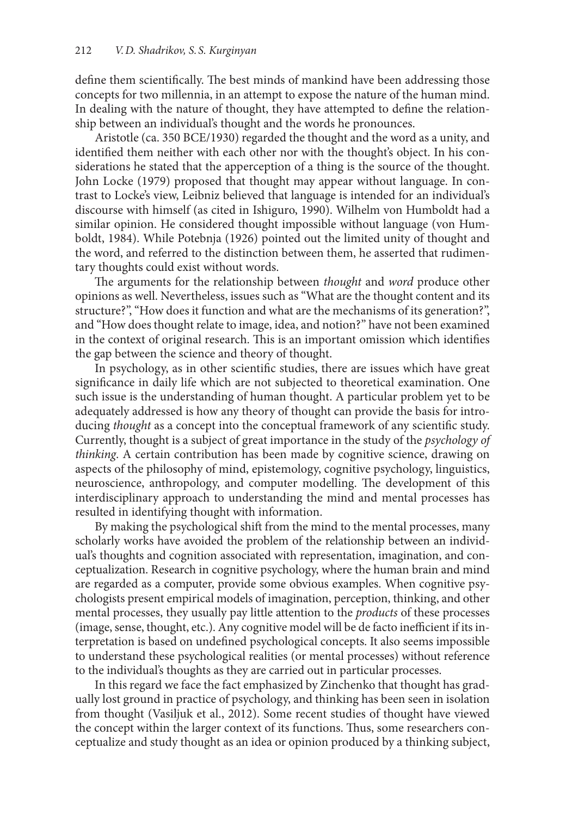define them scientifically. The best minds of mankind have been addressing those concepts for two millennia, in an attempt to expose the nature of the human mind. In dealing with the nature of thought, they have attempted to define the relationship between an individual's thought and the words he pronounces.

Aristotle (ca. 350 BCE/1930) regarded the thought and the word as a unity, and identified them neither with each other nor with the thought's object. In his considerations he stated that the apperception of a thing is the source of the thought. John Locke (1979) proposed that thought may appear without language. In contrast to Locke's view, Leibniz believed that language is intended for an individual's discourse with himself (as cited in Ishiguro, 1990). Wilhelm von Humboldt had a similar opinion. He considered thought impossible without language (von Humboldt, 1984). While Potebnja (1926) pointed out the limited unity of thought and the word, and referred to the distinction between them, he asserted that rudimentary thoughts could exist without words.

The arguments for the relationship between *thought* and *word* produce other opinions as well. Nevertheless, issues such as "What are the thought content and its structure?", "How does it function and what are the mechanisms of its generation?", and "How does thought relate to image, idea, and notion?" have not been examined in the context of original research. This is an important omission which identifies the gap between the science and theory of thought.

In psychology, as in other scientific studies, there are issues which have great significance in daily life which are not subjected to theoretical examination. One such issue is the understanding of human thought. A particular problem yet to be adequately addressed is how any theory of thought can provide the basis for introducing *thought* as a concept into the conceptual framework of any scientific study. Currently, thought is a subject of great importance in the study of the *psychology of thinking*. A certain contribution has been made by cognitive science, drawing on aspects of the philosophy of mind, epistemology, cognitive psychology, linguistics, neuroscience, anthropology, and computer modelling. The development of this interdisciplinary approach to understanding the mind and mental processes has resulted in identifying thought with information.

By making the psychological shift from the mind to the mental processes, many scholarly works have avoided the problem of the relationship between an individual's thoughts and cognition associated with representation, imagination, and conceptualization. Research in cognitive psychology, where the human brain and mind are regarded as a computer, provide some obvious examples. When cognitive psychologists present empirical models of imagination, perception, thinking, and other mental processes, they usually pay little attention to the *products* of these processes (image, sense, thought, etc.). Any cognitive model will be de facto inefficient if its interpretation is based on undefined psychological concepts. It also seems impossible to understand these psychological realities (or mental processes) without reference to the individual's thoughts as they are carried out in particular processes.

In this regard we face the fact emphasized by Zinchenko that thought has gradually lost ground in practice of psychology, and thinking has been seen in isolation from thought (Vasiljuk et al., 2012). Some recent studies of thought have viewed the concept within the larger context of its functions. Thus, some researchers conceptualize and study thought as an idea or opinion produced by a thinking subject,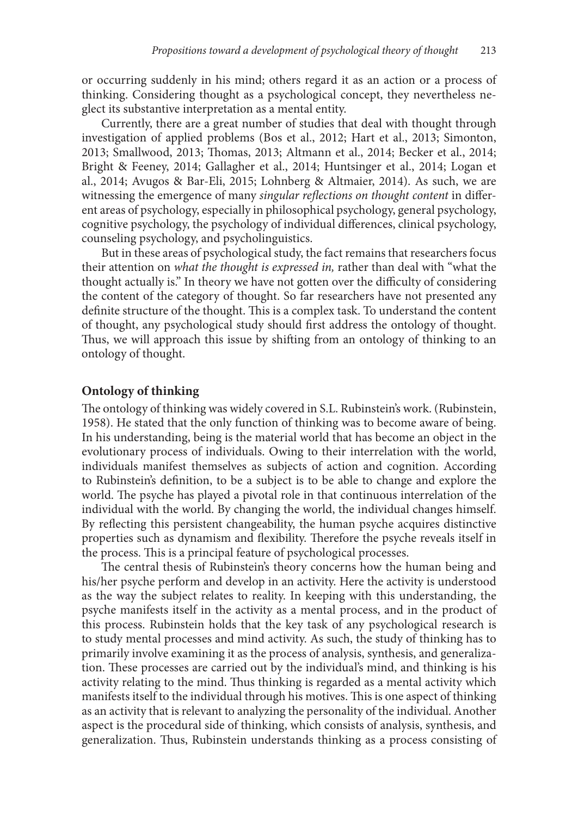or occurring suddenly in his mind; others regard it as an action or a process of thinking. Considering thought as a psychological concept, they nevertheless neglect its substantive interpretation as a mental entity.

Currently, there are a great number of studies that deal with thought through investigation of applied problems (Bos et al., 2012; Hart et al., 2013; Simonton, 2013; Smallwood, 2013; Thomas, 2013; Altmann et al., 2014; Becker et al., 2014; Bright & Feeney, 2014; Gallagher et al., 2014; Huntsinger et al., 2014; Logan et al., 2014; Avugos & Bar-Eli, 2015; Lohnberg & Altmaier, 2014). As such, we are witnessing the emergence of many *singular reflections on thought content* in different areas of psychology, especially in philosophical psychology, general psychology, cognitive psychology, the psychology of individual differences, clinical psychology, counseling psychology, and psycholinguistics.

But in these areas of psychological study, the fact remains that researchers focus their attention on *what the thought is expressed in,* rather than deal with "what the thought actually is." In theory we have not gotten over the difficulty of considering the content of the category of thought. So far researchers have not presented any definite structure of the thought. This is a complex task. To understand the content of thought, any psychological study should first address the ontology of thought. Thus, we will approach this issue by shifting from an ontology of thinking to an ontology of thought.

#### **Ontology of thinking**

The ontology of thinking was widely covered in S.L. Rubinstein's work. (Rubinstein, 1958). He stated that the only function of thinking was to become aware of being. In his understanding, being is the material world that has become an object in the evolutionary process of individuals. Owing to their interrelation with the world, individuals manifest themselves as subjects of action and cognition. According to Rubinstein's definition, to be a subject is to be able to change and explore the world. The psyche has played a pivotal role in that continuous interrelation of the individual with the world. By changing the world, the individual changes himself. By reflecting this persistent changeability, the human psyche acquires distinctive properties such as dynamism and flexibility. Therefore the psyche reveals itself in the process. This is a principal feature of psychological processes.

The central thesis of Rubinstein's theory concerns how the human being and his/her psyche perform and develop in an activity. Here the activity is understood as the way the subject relates to reality. In keeping with this understanding, the psyche manifests itself in the activity as a mental process, and in the product of this process. Rubinstein holds that the key task of any psychological research is to study mental processes and mind activity. As such, the study of thinking has to primarily involve examining it as the process of analysis, synthesis, and generalization. These processes are carried out by the individual's mind, and thinking is his activity relating to the mind. Thus thinking is regarded as a mental activity which manifests itself to the individual through his motives. This is one aspect of thinking as an activity that is relevant to analyzing the personality of the individual. Another aspect is the procedural side of thinking, which consists of analysis, synthesis, and generalization. Thus, Rubinstein understands thinking as a process consisting of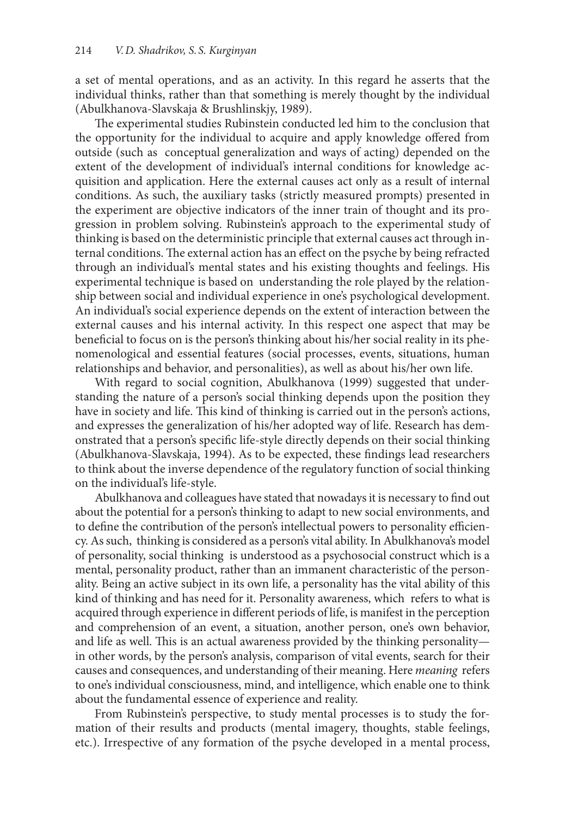a set of mental operations, and as an activity. In this regard he asserts that the individual thinks, rather than that something is merely thought by the individual (Abulkhanova-Slavskaja & Brushlinskjy, 1989).

The experimental studies Rubinstein conducted led him to the conclusion that the opportunity for the individual to acquire and apply knowledge offered from outside (such as conceptual generalization and ways of acting) depended on the extent of the development of individual's internal conditions for knowledge acquisition and application. Here the external causes act only as a result of internal conditions. As such, the auxiliary tasks (strictly measured prompts) presented in the experiment are objective indicators of the inner train of thought and its progression in problem solving. Rubinstein's approach to the experimental study of thinking is based on the deterministic principle that external causes act through internal conditions. The external action has an effect on the psyche by being refracted through an individual's mental states and his existing thoughts and feelings. His experimental technique is based on understanding the role played by the relationship between social and individual experience in one's psychological development. An individual's social experience depends on the extent of interaction between the external causes and his internal activity. In this respect one aspect that may be beneficial to focus on is the person's thinking about his/her social reality in its phenomenological and essential features (social processes, events, situations, human relationships and behavior, and personalities), as well as about his/her own life.

With regard to social cognition, Abulkhanova (1999) suggested that understanding the nature of a person's social thinking depends upon the position they have in society and life. This kind of thinking is carried out in the person's actions, and expresses the generalization of his/her adopted way of life. Research has demonstrated that a person's specific life-style directly depends on their social thinking (Abulkhanova-Slavskaja, 1994). As to be expected, these findings lead researchers to think about the inverse dependence of the regulatory function of social thinking on the individual's life-style.

Abulkhanova and colleagues have stated that nowadays it is necessary to find out about the potential for a person's thinking to adapt to new social environments, and to define the contribution of the person's intellectual powers to personality efficiency. As such, thinking is considered as a person's vital ability. In Abulkhanova's model of personality, social thinking is understood as a psychosocial construct which is a mental, personality product, rather than an immanent characteristic of the personality. Being an active subject in its own life, a personality has the vital ability of this kind of thinking and has need for it. Personality awareness, which refers to what is acquired through experience in different periods of life, is manifest in the perception and comprehension of an event, a situation, another person, one's own behavior, and life as well. This is an actual awareness provided by the thinking personality in other words, by the person's analysis, comparison of vital events, search for their causes and consequences, and understanding of their meaning. Here *meaning* refers to one's individual consciousness, mind, and intelligence, which enable one to think about the fundamental essence of experience and reality.

From Rubinstein's perspective, to study mental processes is to study the formation of their results and products (mental imagery, thoughts, stable feelings, etc.). Irrespective of any formation of the psyche developed in a mental process,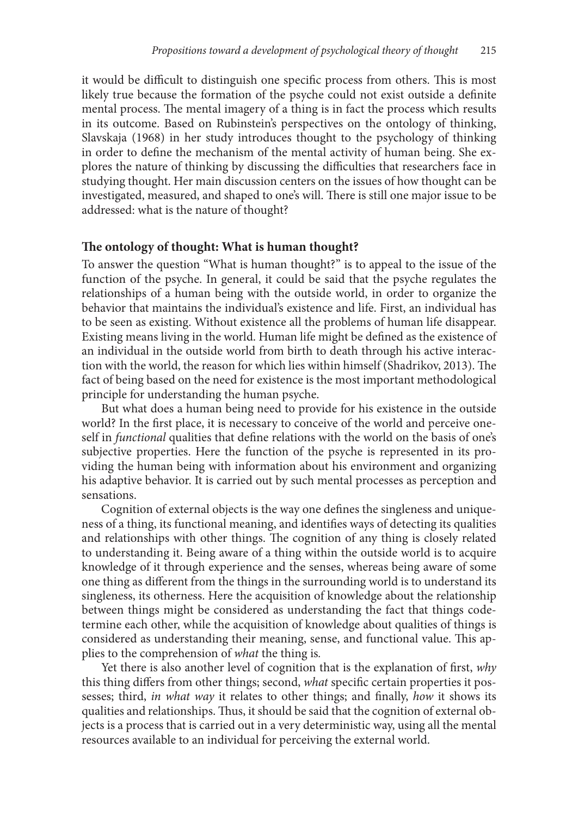it would be difficult to distinguish one specific process from others. This is most likely true because the formation of the psyche could not exist outside a definite mental process. The mental imagery of a thing is in fact the process which results in its outcome. Based on Rubinstein's perspectives on the ontology of thinking, Slavskaja (1968) in her study introduces thought to the psychology of thinking in order to define the mechanism of the mental activity of human being. She explores the nature of thinking by discussing the difficulties that researchers face in studying thought. Her main discussion centers on the issues of how thought can be investigated, measured, and shaped to one's will. There is still one major issue to be addressed: what is the nature of thought?

#### **The ontology of thought: What is human thought?**

To answer the question "What is human thought?" is to appeal to the issue of the function of the psyche. In general, it could be said that the psyche regulates the relationships of a human being with the outside world, in order to organize the behavior that maintains the individual's existence and life. First, an individual has to be seen as existing. Without existence all the problems of human life disappear. Existing means living in the world. Human life might be defined as the existence of an individual in the outside world from birth to death through his active interaction with the world, the reason for which lies within himself (Shadrikov, 2013). The fact of being based on the need for existence is the most important methodological principle for understanding the human psyche.

But what does a human being need to provide for his existence in the outside world? In the first place, it is necessary to conceive of the world and perceive oneself in *functional* qualities that define relations with the world on the basis of one's subjective properties. Here the function of the psyche is represented in its providing the human being with information about his environment and organizing his adaptive behavior. It is carried out by such mental processes as perception and sensations.

Cognition of external objects is the way one defines the singleness and uniqueness of a thing, its functional meaning, and identifies ways of detecting its qualities and relationships with other things. The cognition of any thing is closely related to understanding it. Being aware of a thing within the outside world is to acquire knowledge of it through experience and the senses, whereas being aware of some one thing as different from the things in the surrounding world is to understand its singleness, its otherness. Here the acquisition of knowledge about the relationship between things might be considered as understanding the fact that things codetermine each other, while the acquisition of knowledge about qualities of things is considered as understanding their meaning, sense, and functional value. This applies to the comprehension of *what* the thing is*.*

Yet there is also another level of cognition that is the explanation of first, *why*  this thing differs from other things; second, *what* specific certain properties it possesses; third, *in what way* it relates to other things; and finally, *how* it shows its qualities and relationships. Thus, it should be said that the cognition of external objects is a process that is carried out in a very deterministic way, using all the mental resources available to an individual for perceiving the external world.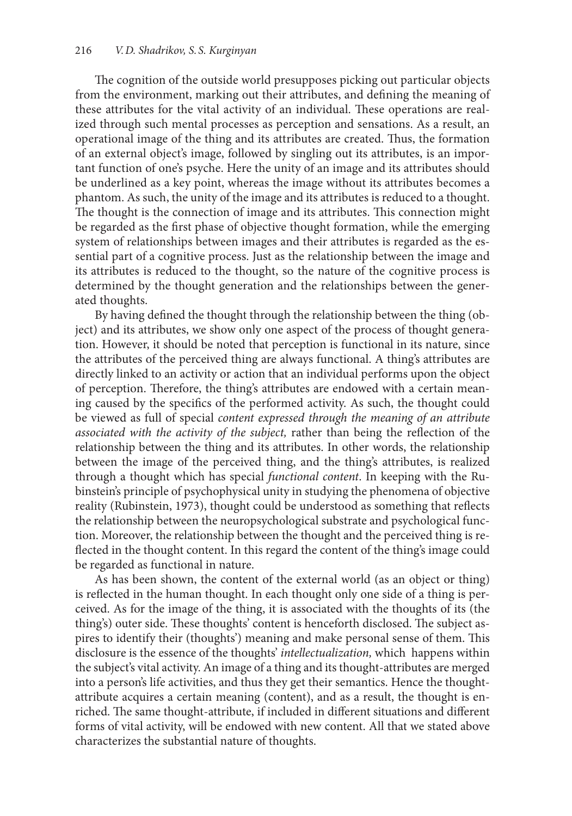The cognition of the outside world presupposes picking out particular objects from the environment, marking out their attributes, and defining the meaning of these attributes for the vital activity of an individual. These operations are realized through such mental processes as perception and sensations. As a result, an operational image of the thing and its attributes are created. Thus, the formation of an external object's image, followed by singling out its attributes, is an important function of one's psyche. Here the unity of an image and its attributes should be underlined as a key point, whereas the image without its attributes becomes a phantom. As such, the unity of the image and its attributes is reduced to a thought. The thought is the connection of image and its attributes. This connection might be regarded as the first phase of objective thought formation, while the emerging system of relationships between images and their attributes is regarded as the essential part of a cognitive process. Just as the relationship between the image and its attributes is reduced to the thought, so the nature of the cognitive process is determined by the thought generation and the relationships between the generated thoughts.

By having defined the thought through the relationship between the thing (object) and its attributes, we show only one aspect of the process of thought generation. However, it should be noted that perception is functional in its nature, since the attributes of the perceived thing are always functional. A thing's attributes are directly linked to an activity or action that an individual performs upon the object of perception. Therefore, the thing's attributes are endowed with a certain meaning caused by the specifics of the performed activity. As such, the thought could be viewed as full of special *content expressed through the meaning of an attribute associated with the activity of the subject,* rather than being the reflection of the relationship between the thing and its attributes. In other words, the relationship between the image of the perceived thing, and the thing's attributes, is realized through a thought which has special *functional content*. In keeping with the Rubinstein's principle of psychophysical unity in studying the phenomena of objective reality (Rubinstein, 1973), thought could be understood as something that reflects the relationship between the neuropsychological substrate and psychological function. Moreover, the relationship between the thought and the perceived thing is reflected in the thought content. In this regard the content of the thing's image could be regarded as functional in nature.

As has been shown, the content of the external world (as an object or thing) is reflected in the human thought. In each thought only one side of a thing is perceived. As for the image of the thing, it is associated with the thoughts of its (the thing's) outer side. These thoughts' content is henceforth disclosed. The subject aspires to identify their (thoughts') meaning and make personal sense of them. This disclosure is the essence of the thoughts' *intellectualization,* which happens within the subject's vital activity. An image of a thing and its thought-attributes are merged into a person's life activities, and thus they get their semantics. Hence the thoughtattribute acquires a certain meaning (content), and as a result, the thought is enriched. The same thought-attribute, if included in different situations and different forms of vital activity, will be endowed with new content. All that we stated above characterizes the substantial nature of thoughts.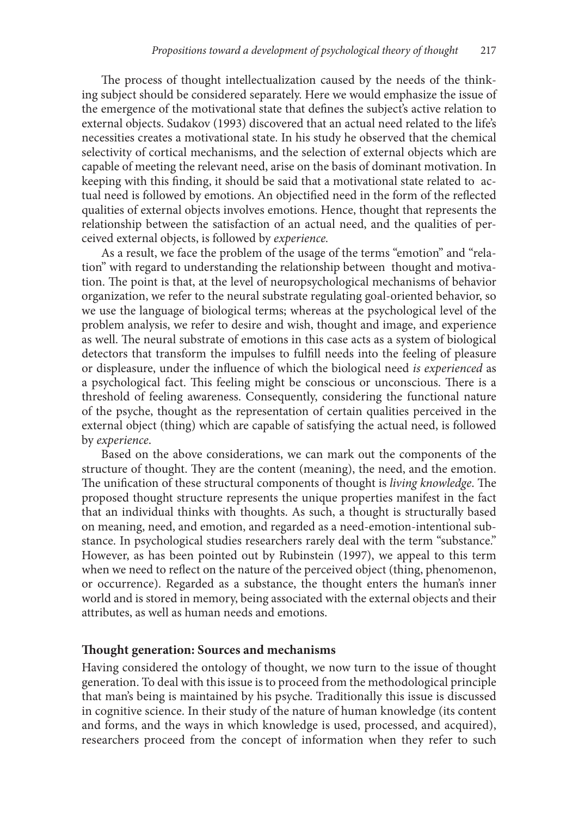The process of thought intellectualization caused by the needs of the thinking subject should be considered separately. Here we would emphasize the issue of the emergence of the motivational state that defines the subject's active relation to external objects. Sudakov (1993) discovered that an actual need related to the life's necessities creates a motivational state. In his study he observed that the chemical selectivity of cortical mechanisms, and the selection of external objects which are capable of meeting the relevant need, arise on the basis of dominant motivation. In keeping with this finding, it should be said that a motivational state related to actual need is followed by emotions. An objectified need in the form of the reflected qualities of external objects involves emotions. Hence, thought that represents the relationship between the satisfaction of an actual need, and the qualities of perceived external objects, is followed by *experience.*

As a result, we face the problem of the usage of the terms "emotion" and "relation" with regard to understanding the relationship between thought and motivation. The point is that, at the level of neuropsychological mechanisms of behavior organization, we refer to the neural substrate regulating goal-oriented behavior, so we use the language of biological terms; whereas at the psychological level of the problem analysis, we refer to desire and wish, thought and image, and experience as well. The neural substrate of emotions in this case acts as a system of biological detectors that transform the impulses to fulfill needs into the feeling of pleasure or displeasure, under the influence of which the biological need *is experienced* as a psychological fact. This feeling might be conscious or unconscious. There is a threshold of feeling awareness. Consequently, considering the functional nature of the psyche, thought as the representation of certain qualities perceived in the external object (thing) which are capable of satisfying the actual need, is followed by *experience*.

Based on the above considerations, we can mark out the components of the structure of thought. They are the content (meaning), the need, and the emotion. The unification of these structural components of thought is *living knowledge*. The proposed thought structure represents the unique properties manifest in the fact that an individual thinks with thoughts. As such, a thought is structurally based on meaning, need, and emotion, and regarded as a need-emotion-intentional substance. In psychological studies researchers rarely deal with the term "substance." However, as has been pointed out by Rubinstein (1997), we appeal to this term when we need to reflect on the nature of the perceived object (thing, phenomenon, or occurrence). Regarded as a substance, the thought enters the human's inner world and is stored in memory, being associated with the external objects and their attributes, as well as human needs and emotions.

#### **Thought generation: Sources and mechanisms**

Having considered the ontology of thought, we now turn to the issue of thought generation. To deal with this issue is to proceed from the methodological principle that man's being is maintained by his psyche. Traditionally this issue is discussed in cognitive science. In their study of the nature of human knowledge (its content and forms, and the ways in which knowledge is used, processed, and acquired), researchers proceed from the concept of information when they refer to such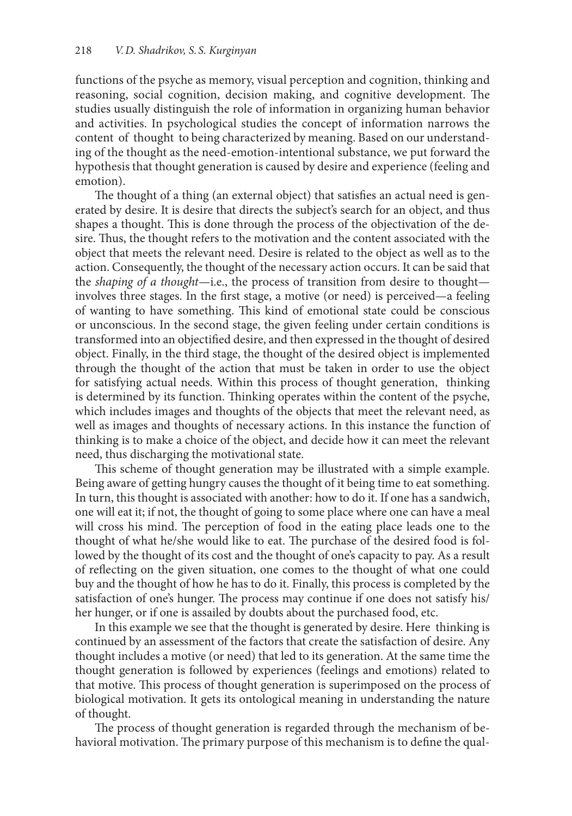functions of the psyche as memory, visual perception and cognition, thinking and reasoning, social cognition, decision making, and cognitive development. The studies usually distinguish the role of information in organizing human behavior and activities. In psychological studies the concept of information narrows the content of thought to being characterized by meaning. Based on our understanding of the thought as the need-emotion-intentional substance, we put forward the hypothesis that thought generation is caused by desire and experience (feeling and emotion).

The thought of a thing (an external object) that satisfies an actual need is generated by desire. It is desire that directs the subject's search for an object, and thus shapes a thought. This is done through the process of the objectivation of the desire. Thus, the thought refers to the motivation and the content associated with the object that meets the relevant need. Desire is related to the object as well as to the action. Consequently, the thought of the necessary action occurs. It can be said that the *shaping of a thought*—i.e., the process of transition from desire to thought involves three stages. In the first stage, a motive (or need) is perceived—a feeling of wanting to have something. This kind of emotional state could be conscious or unconscious. In the second stage, the given feeling under certain conditions is transformed into an objectified desire, and then expressed in the thought of desired object. Finally, in the third stage, the thought of the desired object is implemented through the thought of the action that must be taken in order to use the object for satisfying actual needs. Within this process of thought generation, thinking is determined by its function. Thinking operates within the content of the psyche, which includes images and thoughts of the objects that meet the relevant need, as well as images and thoughts of necessary actions. In this instance the function of thinking is to make a choice of the object, and decide how it can meet the relevant need, thus discharging the motivational state.

This scheme of thought generation may be illustrated with a simple example. Being aware of getting hungry causes the thought of it being time to eat something. In turn, this thought is associated with another: how to do it. If one has a sandwich, one will eat it; if not, the thought of going to some place where one can have a meal will cross his mind. The perception of food in the eating place leads one to the thought of what he/she would like to eat. The purchase of the desired food is followed by the thought of its cost and the thought of one's capacity to pay. As a result of reflecting on the given situation, one comes to the thought of what one could buy and the thought of how he has to do it. Finally, this process is completed by the satisfaction of one's hunger. The process may continue if one does not satisfy his/ her hunger, or if one is assailed by doubts about the purchased food, etc.

In this example we see that the thought is generated by desire. Here thinking is continued by an assessment of the factors that create the satisfaction of desire. Any thought includes a motive (or need) that led to its generation. At the same time the thought generation is followed by experiences (feelings and emotions) related to that motive. This process of thought generation is superimposed on the process of biological motivation. It gets its ontological meaning in understanding the nature of thought.

The process of thought generation is regarded through the mechanism of behavioral motivation. The primary purpose of this mechanism is to define the qual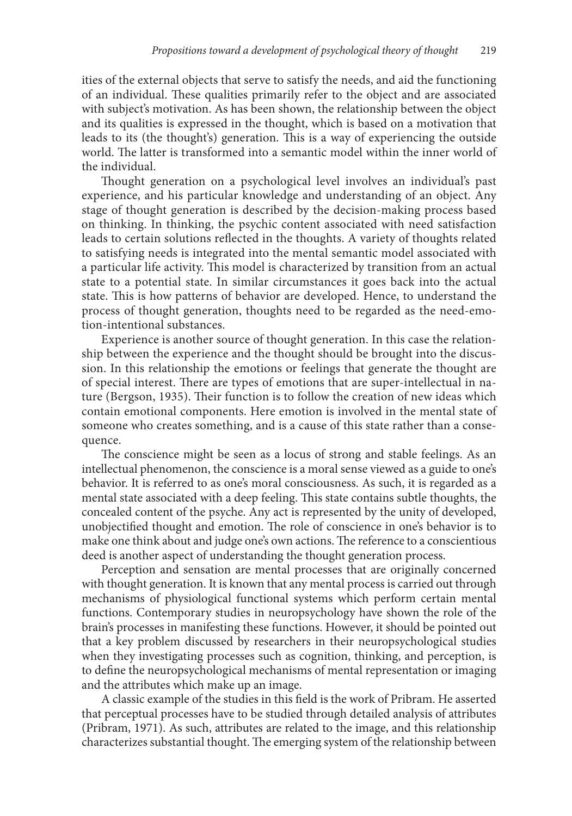ities of the external objects that serve to satisfy the needs, and aid the functioning of an individual. These qualities primarily refer to the object and are associated with subject's motivation. As has been shown, the relationship between the object and its qualities is expressed in the thought, which is based on a motivation that leads to its (the thought's) generation. This is a way of experiencing the outside world. The latter is transformed into a semantic model within the inner world of the individual.

Thought generation on a psychological level involves an individual's past experience, and his particular knowledge and understanding of an object. Any stage of thought generation is described by the decision-making process based on thinking. In thinking, the psychic content associated with need satisfaction leads to certain solutions reflected in the thoughts. A variety of thoughts related to satisfying needs is integrated into the mental semantic model associated with a particular life activity. This model is characterized by transition from an actual state to a potential state. In similar circumstances it goes back into the actual state. This is how patterns of behavior are developed. Hence, to understand the process of thought generation, thoughts need to be regarded as the need-emotion-intentional substances.

Experience is another source of thought generation. In this case the relationship between the experience and the thought should be brought into the discussion. In this relationship the emotions or feelings that generate the thought are of special interest. There are types of emotions that are super-intellectual in nature (Bergson, 1935). Their function is to follow the creation of new ideas which contain emotional components. Here emotion is involved in the mental state of someone who creates something, and is a cause of this state rather than a consequence.

The conscience might be seen as a locus of strong and stable feelings. As an intellectual phenomenon, the conscience is a moral sense viewed as a guide to one's behavior. It is referred to as one's moral consciousness. As such, it is regarded as a mental state associated with a deep feeling. This state contains subtle thoughts, the concealed content of the psyche. Any act is represented by the unity of developed, unobjectified thought and emotion. The role of conscience in one's behavior is to make one think about and judge one's own actions. The reference to a conscientious deed is another aspect of understanding the thought generation process.

Perception and sensation are mental processes that are originally concerned with thought generation. It is known that any mental process is carried out through mechanisms of physiological functional systems which perform certain mental functions. Contemporary studies in neuropsychology have shown the role of the brain's processes in manifesting these functions. However, it should be pointed out that a key problem discussed by researchers in their neuropsychological studies when they investigating processes such as cognition, thinking, and perception, is to define the neuropsychological mechanisms of mental representation or imaging and the attributes which make up an image.

A classic example of the studies in this field is the work of Pribram. He asserted that perceptual processes have to be studied through detailed analysis of attributes (Pribram, 1971). As such, attributes are related to the image, and this relationship characterizes substantial thought. The emerging system of the relationship between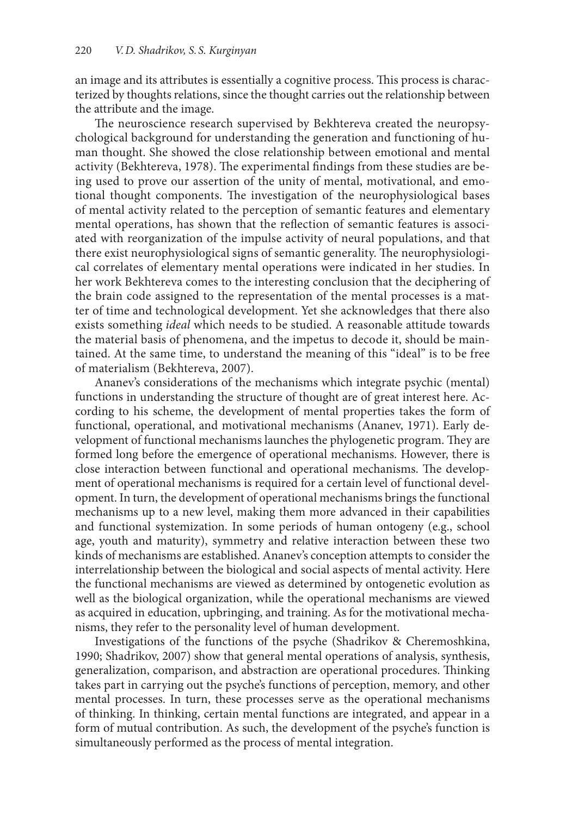an image and its attributes is essentially a cognitive process. This process is characterized by thoughts relations, since the thought carries out the relationship between the attribute and the image.

The neuroscience research supervised by Bekhtereva created the neuropsychological background for understanding the generation and functioning of human thought. She showed the close relationship between emotional and mental activity (Bekhtereva, 1978). The experimental findings from these studies are being used to prove our assertion of the unity of mental, motivational, and emotional thought components. The investigation of the neurophysiological bases of mental activity related to the perception of semantic features and elementary mental operations, has shown that the reflection of semantic features is associated with reorganization of the impulse activity of neural populations, and that there exist neurophysiological signs of semantic generality. The neurophysiological correlates of elementary mental operations were indicated in her studies. In her work Bekhtereva comes to the interesting conclusion that the deciphering of the brain code assigned to the representation of the mental processes is a matter of time and technological development. Yet she acknowledges that there also exists something *ideal* which needs to be studied. A reasonable attitude towards the material basis of phenomena, and the impetus to decode it, should be maintained. At the same time, to understand the meaning of this "ideal" is to be free of materialism (Bekhtereva, 2007).

Ananev's considerations of the mechanisms which integrate psychic (mental) functions in understanding the structure of thought are of great interest here. According to his scheme, the development of mental properties takes the form of functional, operational, and motivational mechanisms (Ananev, 1971). Early development of functional mechanisms launches the phylogenetic program. They are formed long before the emergence of operational mechanisms. However, there is close interaction between functional and operational mechanisms. The development of operational mechanisms is required for a certain level of functional development. In turn, the development of operational mechanisms brings the functional mechanisms up to a new level, making them more advanced in their capabilities and functional systemization. In some periods of human ontogeny (e.g., school age, youth and maturity), symmetry and relative interaction between these two kinds of mechanisms are established. Ananev's conception attempts to consider the interrelationship between the biological and social aspects of mental activity. Here the functional mechanisms are viewed as determined by ontogenetic evolution as well as the biological organization, while the operational mechanisms are viewed as acquired in education, upbringing, and training. As for the motivational mechanisms, they refer to the personality level of human development.

Investigations of the functions of the psyche (Shadrikov & Cheremoshkina, 1990; Shadrikov, 2007) show that general mental operations of analysis, synthesis, generalization, comparison, and abstraction are operational procedures. Thinking takes part in carrying out the psyche's functions of perception, memory, and other mental processes. In turn, these processes serve as the operational mechanisms of thinking. In thinking, certain mental functions are integrated, and appear in a form of mutual contribution. As such, the development of the psyche's function is simultaneously performed as the process of mental integration.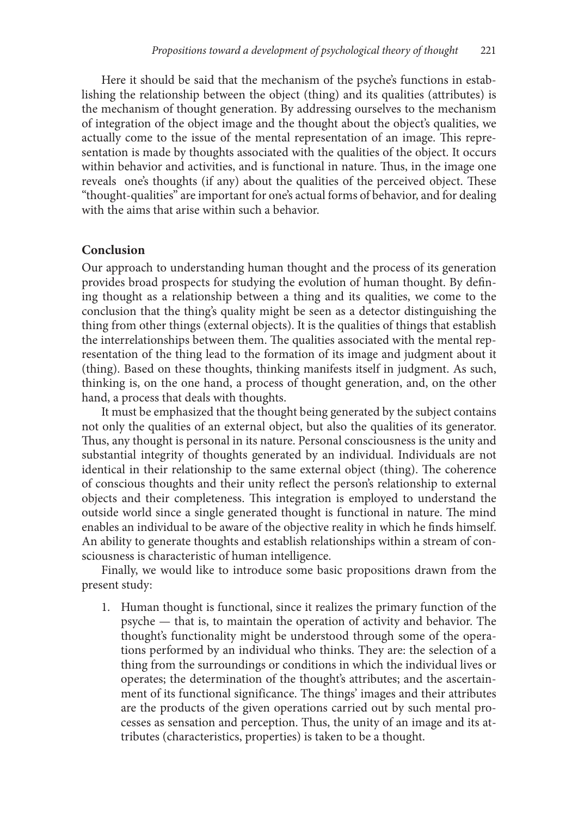Here it should be said that the mechanism of the psyche's functions in establishing the relationship between the object (thing) and its qualities (attributes) is the mechanism of thought generation. By addressing ourselves to the mechanism of integration of the object image and the thought about the object's qualities, we actually come to the issue of the mental representation of an image. This representation is made by thoughts associated with the qualities of the object. It occurs within behavior and activities, and is functional in nature. Thus, in the image one reveals one's thoughts (if any) about the qualities of the perceived object. These "thought-qualities" are important for one's actual forms of behavior, and for dealing with the aims that arise within such a behavior.

#### **Conclusion**

Our approach to understanding human thought and the process of its generation provides broad prospects for studying the evolution of human thought. By defining thought as a relationship between a thing and its qualities, we come to the conclusion that the thing's quality might be seen as a detector distinguishing the thing from other things (external objects). It is the qualities of things that establish the interrelationships between them. The qualities associated with the mental representation of the thing lead to the formation of its image and judgment about it (thing). Based on these thoughts, thinking manifests itself in judgment. As such, thinking is, on the one hand, a process of thought generation, and, on the other hand, a process that deals with thoughts.

It must be emphasized that the thought being generated by the subject contains not only the qualities of an external object, but also the qualities of its generator. Thus, any thought is personal in its nature. Personal consciousness is the unity and substantial integrity of thoughts generated by an individual. Individuals are not identical in their relationship to the same external object (thing). The coherence of conscious thoughts and their unity reflect the person's relationship to external objects and their completeness. This integration is employed to understand the outside world since a single generated thought is functional in nature. The mind enables an individual to be aware of the objective reality in which he finds himself. An ability to generate thoughts and establish relationships within a stream of consciousness is characteristic of human intelligence.

Finally, we would like to introduce some basic propositions drawn from the present study:

1. Human thought is functional, since it realizes the primary function of the psyche — that is, to maintain the operation of activity and behavior. The thought's functionality might be understood through some of the operations performed by an individual who thinks. They are: the selection of a thing from the surroundings or conditions in which the individual lives or operates; the determination of the thought's attributes; and the ascertainment of its functional significance. The things' images and their attributes are the products of the given operations carried out by such mental processes as sensation and perception. Thus, the unity of an image and its attributes (characteristics, properties) is taken to be a thought.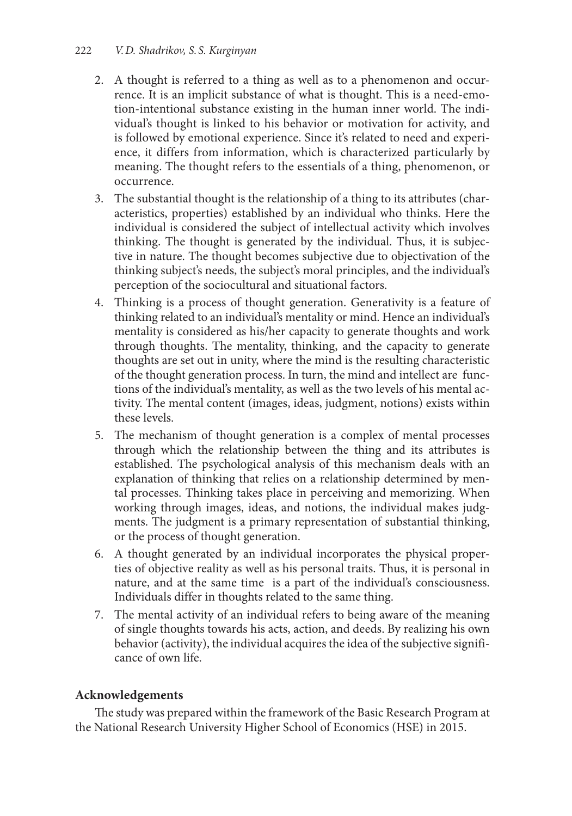- 2. A thought is referred to a thing as well as to a phenomenon and occurrence. It is an implicit substance of what is thought. This is a need-emotion-intentional substance existing in the human inner world. The individual's thought is linked to his behavior or motivation for activity, and is followed by emotional experience. Since it's related to need and experience, it differs from information, which is characterized particularly by meaning. The thought refers to the essentials of a thing, phenomenon, or occurrence.
- 3. The substantial thought is the relationship of a thing to its attributes (characteristics, properties) established by an individual who thinks. Here the individual is considered the subject of intellectual activity which involves thinking. The thought is generated by the individual. Thus, it is subjective in nature. The thought becomes subjective due to objectivation of the thinking subject's needs, the subject's moral principles, and the individual's perception of the sociocultural and situational factors.
- 4. Thinking is a process of thought generation. Generativity is a feature of thinking related to an individual's mentality or mind. Hence an individual's mentality is considered as his/her capacity to generate thoughts and work through thoughts. The mentality, thinking, and the capacity to generate thoughts are set out in unity, where the mind is the resulting characteristic of the thought generation process. In turn, the mind and intellect are functions of the individual's mentality, as well as the two levels of his mental activity. The mental content (images, ideas, judgment, notions) exists within these levels.
- 5. The mechanism of thought generation is a complex of mental processes through which the relationship between the thing and its attributes is established. The psychological analysis of this mechanism deals with an explanation of thinking that relies on a relationship determined by mental processes. Thinking takes place in perceiving and memorizing. When working through images, ideas, and notions, the individual makes judgments. The judgment is a primary representation of substantial thinking, or the process of thought generation.
- 6. A thought generated by an individual incorporates the physical properties of objective reality as well as his personal traits. Thus, it is personal in nature, and at the same time is a part of the individual's consciousness. Individuals differ in thoughts related to the same thing.
- 7. The mental activity of an individual refers to being aware of the meaning of single thoughts towards his acts, action, and deeds. By realizing his own behavior (activity), the individual acquires the idea of the subjective significance of own life.

## **Acknowledgements**

The study was prepared within the framework of the Basic Research Program at the National Research University Higher School of Economics (HSE) in 2015.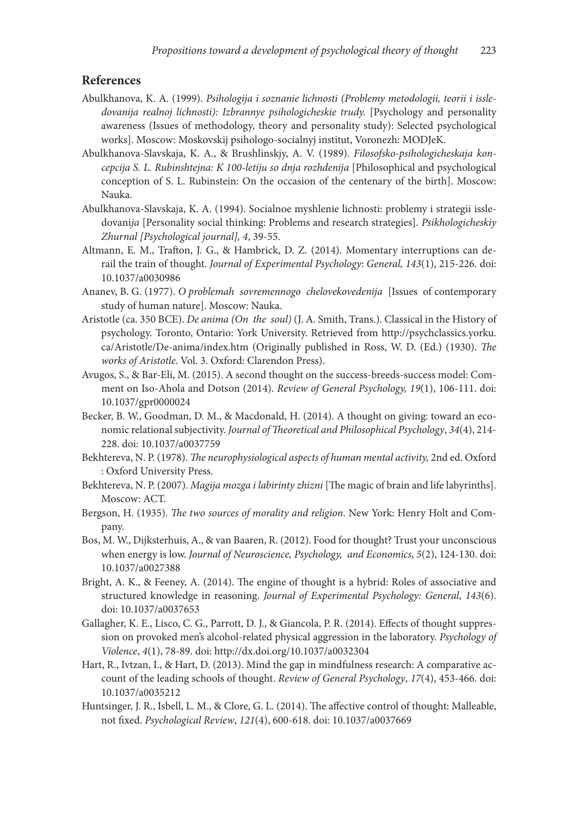### **References**

- Abulkhanova, K. A. (1999). *Psihologija i soznanie lichnosti (Problemy metodologii, teorii i issle*dovanija realnoj lichnosti): Izbrannye psihologicheskie trudy. [Psychology and personality awareness (Issues of methodology, theory and personality study): Selected psychological works]. Moscow: Moskovskij psihologo-socialnyj institut, Voronezh: MODJeK.
- Abulkhanova-Slavskaja, K. A., & Brushlinskjy, A. V. (1989). *Filosofsko-psihologicheskaja koncepcija S. L. Rubinshtejna: K 100-letiju so dnja rozhdenija* [Philosophical and psychological conception of S. L. Rubinstein: On the occasion of the centenary of the birth]. Moscow: Nauka.
- Abulkhanova-Slavskaja, K. A. (1994). Socialnoe myshlenie lichnosti: problemy i strategii issledovani*ja* [Personality social thinking: Problems and research strategies]. *Psikhologicheskiy Zhurnal [Psychological journal], 4*, 39-55.
- Altmann, E. M., Trafton, J. G., & Hambrick, D. Z. (2014). Momentary interruptions can derail the train of thought. *Journal of Experimental Psychology*: *General, 143*(1), 215-226. doi: 10.1037/a0030986
- Ananev, B. G. (1977). *O problemah sovremennogo chelovekovedenija* [Issues of contemporary study of human nature]. Moscow: Nauka.
- Aristotle (ca. 350 BCE). *De anima (On the soul)* (J. A. Smith, Trans.). Classical in the History of psychology. Toronto, Ontario: York University. Retrieved from http://psychclassics.yorku. ca/Aristotle/De-anima/index.htm (Originally published in Ross, W. D. (Ed.) (1930). *The works of Aristotle*. Vol. 3. Oxford: Clarendon Press).
- Avugos, S., & Bar-Eli, M. (2015). A second thought on the success-breeds-success model: Comment on Iso-Ahola and Dotson (2014). *Review of General Psychology, 19*(1), 106-111. doi: 10.1037/gpr0000024
- Becker, B. W., Goodman, D. M., & Macdonald, H. (2014). A thought on giving: toward an economic relational subjectivity. *Journal of Theoretical and Philosophical Psychology*, *34*(4), 214- 228. doi: 10.1037/a0037759
- Bekhtereva, N. P. (1978). *The neurophysiological aspects of human mental activity,* 2nd ed. Oxford : Oxford University Press.
- Bekhtereva, N. P. (2007). *Magija mozga i labirinty zhizni* [The magic of brain and life labyrinths]. Moscow: ACT.
- Bergson, H. (1935). *The two sources of morality and religion*. New York: Henry Holt and Company.
- Bos, M. W., Dijksterhuis, A., & van Baaren, R. (2012). Food for thought? Trust your unconscious when energy is low. *Journal of Neuroscience, Psychology, and Economics*, *5*(2), 124-130. doi: 10.1037/a0027388
- Bright, A. K., & Feeney, A. (2014). The engine of thought is a hybrid: Roles of associative and structured knowledge in reasoning. *Journal of Experimental Psychology: General*, *143*(6). doi: 10.1037/a0037653
- Gallagher, K. E., Lisco, C. G., Parrott, D. J., & Giancola, P. R. (2014). Effects of thought suppression on provoked men's alcohol-related physical aggression in the laboratory. *Psychology of Violence*, *4*(1), 78-89. doi: http://dx.doi.org/10.1037/a0032304
- Hart, R., Ivtzan, I., & Hart, D. (2013). Mind the gap in mindfulness research: A comparative account of the leading schools of thought. *Review of General Psychology*, *17*(4), 453-466. doi: 10.1037/a0035212
- Huntsinger, J. R., Isbell, L. M., & Clore, G. L. (2014). The affective control of thought: Malleable, not fixed. *Psychological Review*, *121*(4), 600-618. doi: 10.1037/a0037669